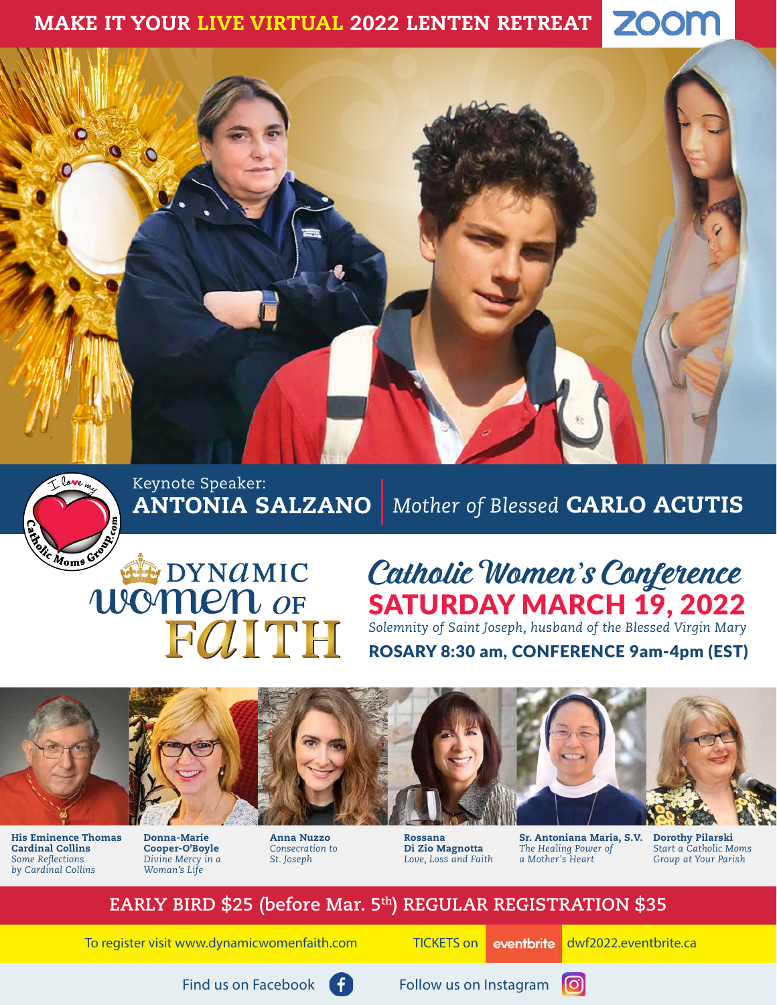#### **ZOOM** MAKE IT YOUR LIVE VIRTUAL 2022 LENTEN RETREAT





Keynote Speaker: ANTONIA SALZANO

# *Mother of Blessed* CARLO ACUTIS

# **EXPOYMANIC** FOITH

# Catholic Women's Conference SATURDAY MARCH 19, 2022

*Solemnity of Saint Joseph, husband of the Blessed Virgin Mary* ROSARY 8:30 am, CONFERENCE 9am-4pm (EST)



His Eminence Thomas Cardinal Collins *Some Reflections by Cardinal Collins*

Donna-Marie Cooper-O'Boyle *Divine Mercy in a Woman's Life*

Anna Nuzzo *Consecration to St. Joseph*

Rossana Di Zio Magnotta *Love, Loss and Faith* Sr. Antoniana Maria, S.V. *The Healing Power of a Mother's Heart*

Dorothy Pilarski *Start a Catholic Moms Group at Your Parish*

# **EARLY BIRD \$25 (before Mar. 5th) REGULAR REGISTRATION \$35**

To register visit [www.dynamicwomenfaith.com](https://dynamicwomenfaith.com) TICKETS on eventbrite dwf2022.eventbrite.ca





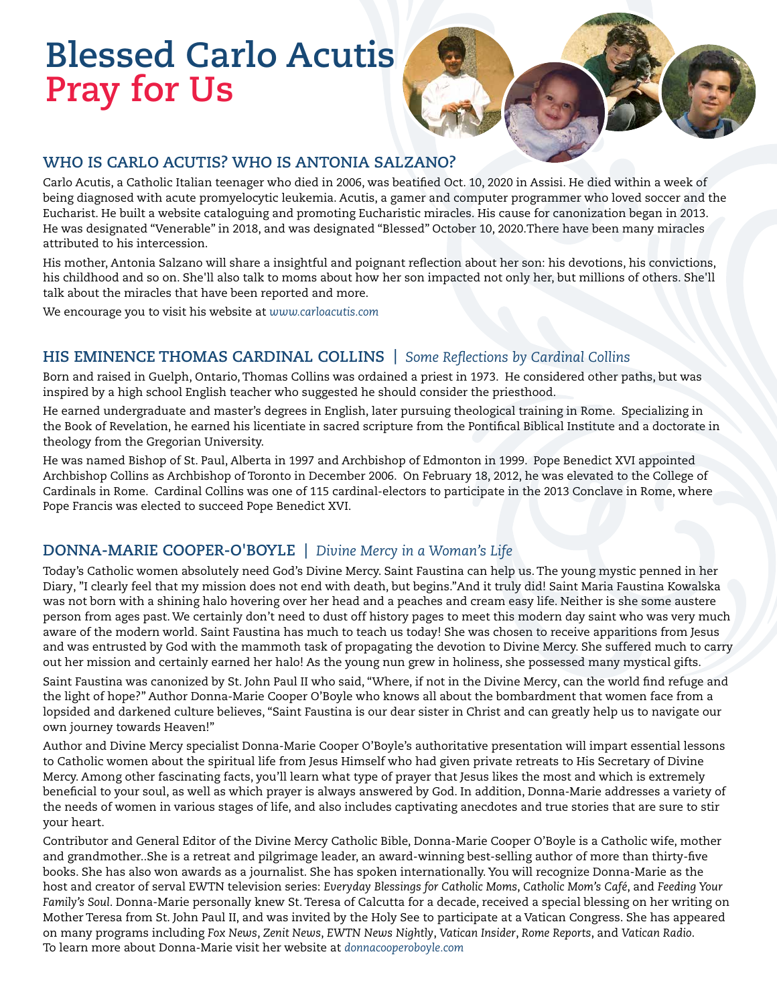# **Blessed Carlo Acutis Pray for Us**

### **WHO IS CARLO ACUTIS? WHO IS ANTONIA SALZANO?**

Carlo Acutis, a Catholic Italian teenager who died in 2006, was beatified Oct. 10, 2020 in Assisi. He died within a week of being diagnosed with acute promyelocytic leukemia. Acutis, a gamer and computer programmer who loved soccer and the Eucharist. He built a website cataloguing and promoting Eucharistic miracles. His cause for canonization began in 2013. He was designated "Venerable" in 2018, and was designated "Blessed" October 10, 2020.There have been many miracles attributed to his intercession.

His mother, Antonia Salzano will share a insightful and poignant reflection about her son: his devotions, his convictions, his childhood and so on. She'll also talk to moms about how her son impacted not only her, but millions of others. She'll talk about the miracles that have been reported and more.

We encourage you to visit his website at *www.[carloacutis.com](http://carloacutis.com/ )*

### **HIS EMINENCE THOMAS CARDINAL COLLINS |** *Some Reflections by Cardinal Collins*

Born and raised in Guelph, Ontario, Thomas Collins was ordained a priest in 1973. He considered other paths, but was inspired by a high school English teacher who suggested he should consider the priesthood.

He earned undergraduate and master's degrees in English, later pursuing theological training in Rome. Specializing in the Book of Revelation, he earned his licentiate in sacred scripture from the Pontifical Biblical Institute and a doctorate in theology from the Gregorian University.

He was named Bishop of St. Paul, Alberta in 1997 and Archbishop of Edmonton in 1999. Pope Benedict XVI appointed Archbishop Collins as Archbishop of Toronto in December 2006. On February 18, 2012, he was elevated to the College of Cardinals in Rome. Cardinal Collins was one of 115 cardinal-electors to participate in the 2013 Conclave in Rome, where Pope Francis was elected to succeed Pope Benedict XVI.

### **DONNA-MARIE COOPER-O'BOYLE |** *Divine Mercy in a Woman's Life*

Today's Catholic women absolutely need God's Divine Mercy. Saint Faustina can help us. The young mystic penned in her Diary, "I clearly feel that my mission does not end with death, but begins."And it truly did! Saint Maria Faustina Kowalska was not born with a shining halo hovering over her head and a peaches and cream easy life. Neither is she some austere person from ages past. We certainly don't need to dust off history pages to meet this modern day saint who was very much aware of the modern world. Saint Faustina has much to teach us today! She was chosen to receive apparitions from Jesus and was entrusted by God with the mammoth task of propagating the devotion to Divine Mercy. She suffered much to carry out her mission and certainly earned her halo! As the young nun grew in holiness, she possessed many mystical gifts.

Saint Faustina was canonized by St. John Paul II who said, "Where, if not in the Divine Mercy, can the world find refuge and the light of hope?" Author Donna-Marie Cooper O'Boyle who knows all about the bombardment that women face from a lopsided and darkened culture believes, "Saint Faustina is our dear sister in Christ and can greatly help us to navigate our own journey towards Heaven!"

Author and Divine Mercy specialist Donna-Marie Cooper O'Boyle's authoritative presentation will impart essential lessons to Catholic women about the spiritual life from Jesus Himself who had given private retreats to His Secretary of Divine Mercy. Among other fascinating facts, you'll learn what type of prayer that Jesus likes the most and which is extremely beneficial to your soul, as well as which prayer is always answered by God. In addition, Donna-Marie addresses a variety of the needs of women in various stages of life, and also includes captivating anecdotes and true stories that are sure to stir your heart.

Contributor and General Editor of the Divine Mercy Catholic Bible, Donna-Marie Cooper O'Boyle is a Catholic wife, mother and grandmother..She is a retreat and pilgrimage leader, an award-winning best-selling author of more than thirty-five books. She has also won awards as a journalist. She has spoken internationally. You will recognize Donna-Marie as the host and creator of serval EWTN television series: *Everyday Blessings for Catholic Moms*, *Catholic Mom's Café*, and *Feeding Your Family's Soul*. Donna-Marie personally knew St. Teresa of Calcutta for a decade, received a special blessing on her writing on Mother Teresa from St. John Paul II, and was invited by the Holy See to participate at a Vatican Congress. She has appeared on many programs including *Fox News*, *Zenit News*, *EWTN News Nightly*, *Vatican Insider*, *Rome Reports*, and *Vatican Radio*. To learn more about Donna-Marie visit her website at *[donnacooperoboyle.com](http://donnacooperoboyle.com)*